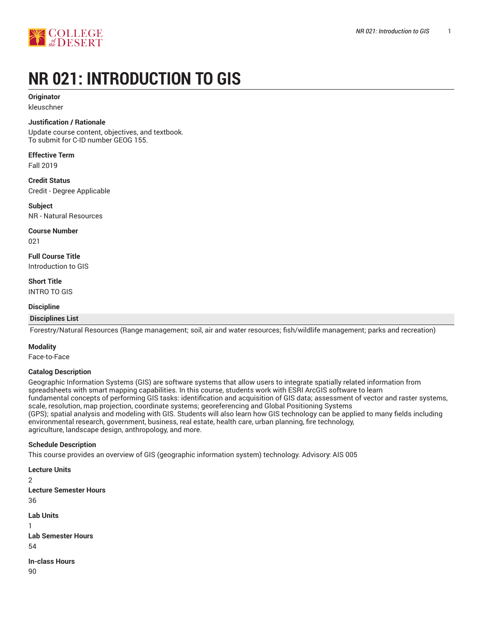

# **NR 021: INTRODUCTION TO GIS**

## **Originator**

kleuschner

#### **Justification / Rationale**

Update course content, objectives, and textbook. To submit for C-ID number GEOG 155.

**Effective Term**

Fall 2019

## **Credit Status**

Credit - Degree Applicable

**Subject** NR - Natural Resources

**Course Number**

021

**Full Course Title**

Introduction to GIS

**Short Title** INTRO TO GIS

#### **Discipline**

## **Disciplines List**

Forestry/Natural Resources (Range management; soil, air and water resources; fish/wildlife management; parks and recreation)

#### **Modality**

Face-to-Face

#### **Catalog Description**

Geographic Information Systems (GIS) are software systems that allow users to integrate spatially related information from spreadsheets with smart mapping capabilities. In this course, students work with ESRI ArcGIS software to learn fundamental concepts of performing GIS tasks: identification and acquisition of GIS data; assessment of vector and raster systems, scale, resolution, map projection, coordinate systems; georeferencing and Global Positioning Systems (GPS); spatial analysis and modeling with GIS. Students will also learn how GIS technology can be applied to many fields including environmental research, government, business, real estate, health care, urban planning, fire technology, agriculture, landscape design, anthropology, and more.

#### **Schedule Description**

This course provides an overview of GIS (geographic information system) technology. Advisory: AIS 005

```
Lecture Units
\mathfrak{D}Lecture Semester Hours
36
Lab Units
1
Lab Semester Hours
54
In-class Hours
90
```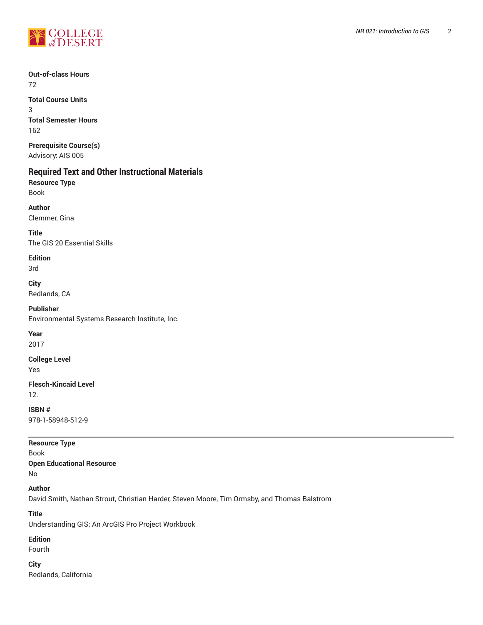

**Out-of-class Hours**

72

**Total Course Units** 3 **Total Semester Hours** 162

**Prerequisite Course(s)** Advisory: AIS 005

# **Required Text and Other Instructional Materials**

**Resource Type** Book

**Author** Clemmer, Gina

**Title** The GIS 20 Essential Skills

**Edition** 3rd

**City**

Redlands, CA

**Publisher** Environmental Systems Research Institute, Inc.

**Year**

2017

**College Level**

Yes

**Flesch-Kincaid Level** 12.

**ISBN #** 978-1-58948-512-9

**Resource Type** Book

**Open Educational Resource**

No

**Author**

David Smith, Nathan Strout, Christian Harder, Steven Moore, Tim Ormsby, and Thomas Balstrom

**Title**

Understanding GIS; An ArcGIS Pro Project Workbook

## **Edition**

Fourth

**City** Redlands, California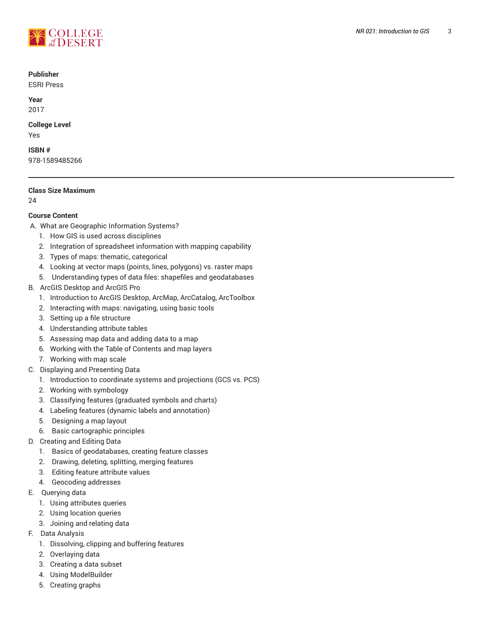

#### **Publisher**

ESRI Press

**Year** 2017

## **College Level**

Yes

## **ISBN #**

978-1589485266

## **Class Size Maximum**

24

## **Course Content**

- A. What are Geographic Information Systems?
	- 1. How GIS is used across disciplines
	- 2. Integration of spreadsheet information with mapping capability
	- 3. Types of maps: thematic, categorical
	- 4. Looking at vector maps (points, lines, polygons) vs. raster maps
	- 5. Understanding types of data files: shapefiles and geodatabases
- B. ArcGIS Desktop and ArcGIS Pro
	- 1. Introduction to ArcGIS Desktop, ArcMap, ArcCatalog, ArcToolbox
	- 2. Interacting with maps: navigating, using basic tools
	- 3. Setting up a file structure
	- 4. Understanding attribute tables
	- 5. Assessing map data and adding data to a map
	- 6. Working with the Table of Contents and map layers
	- 7. Working with map scale
- C. Displaying and Presenting Data
	- 1. Introduction to coordinate systems and projections (GCS vs. PCS)
	- 2. Working with symbology
	- 3. Classifying features (graduated symbols and charts)
	- 4. Labeling features (dynamic labels and annotation)
	- 5. Designing a map layout
	- 6. Basic cartographic principles
- D. Creating and Editing Data
	- 1. Basics of geodatabases, creating feature classes
	- 2. Drawing, deleting, splitting, merging features
	- 3. Editing feature attribute values
	- 4. Geocoding addresses
- E. Querying data
	- 1. Using attributes queries
	- 2. Using location queries
	- 3. Joining and relating data
- F. Data Analysis
	- 1. Dissolving, clipping and buffering features
	- 2. Overlaying data
	- 3. Creating a data subset
	- 4. Using ModelBuilder
	- 5. Creating graphs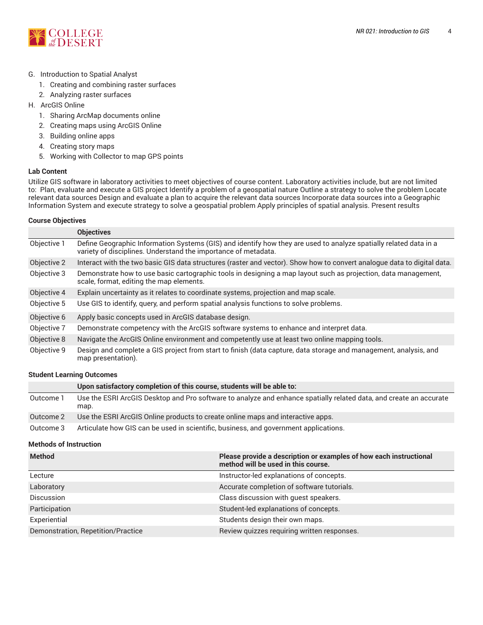

#### G. Introduction to Spatial Analyst

- 1. Creating and combining raster surfaces
- 2. Analyzing raster surfaces
- H. ArcGIS Online
	- 1. Sharing ArcMap documents online
	- 2. Creating maps using ArcGIS Online
	- 3. Building online apps
	- 4. Creating story maps
	- 5. Working with Collector to map GPS points

#### **Lab Content**

Utilize GIS software in laboratory activities to meet objectives of course content. Laboratory activities include, but are not limited to: Plan, evaluate and execute a GIS project Identify a problem of a geospatial nature Outline a strategy to solve the problem Locate relevant data sources Design and evaluate a plan to acquire the relevant data sources Incorporate data sources into a Geographic Information System and execute strategy to solve a geospatial problem Apply principles of spatial analysis. Present results

#### **Course Objectives**

|             | <b>Objectives</b>                                                                                                                                                                   |
|-------------|-------------------------------------------------------------------------------------------------------------------------------------------------------------------------------------|
| Objective 1 | Define Geographic Information Systems (GIS) and identify how they are used to analyze spatially related data in a<br>variety of disciplines. Understand the importance of metadata. |
| Objective 2 | Interact with the two basic GIS data structures (raster and vector). Show how to convert analogue data to digital data.                                                             |
| Objective 3 | Demonstrate how to use basic cartographic tools in designing a map layout such as projection, data management,<br>scale, format, editing the map elements.                          |
| Objective 4 | Explain uncertainty as it relates to coordinate systems, projection and map scale.                                                                                                  |
| Objective 5 | Use GIS to identify, query, and perform spatial analysis functions to solve problems.                                                                                               |
| Objective 6 | Apply basic concepts used in ArcGIS database design.                                                                                                                                |
| Objective 7 | Demonstrate competency with the ArcGIS software systems to enhance and interpret data.                                                                                              |
| Objective 8 | Navigate the ArcGIS Online environment and competently use at least two online mapping tools.                                                                                       |
| Objective 9 | Design and complete a GIS project from start to finish (data capture, data storage and management, analysis, and<br>map presentation).                                              |

#### **Student Learning Outcomes**

|           | Upon satisfactory completion of this course, students will be able to:                                                     |
|-----------|----------------------------------------------------------------------------------------------------------------------------|
| Outcome 1 | Use the ESRI ArcGIS Desktop and Pro software to analyze and enhance spatially related data, and create an accurate<br>map. |
| Outcome 2 | Use the ESRI ArcGIS Online products to create online maps and interactive apps.                                            |
| 0.4222222 | Autorizate legar OIO seu les resealingeristice lerreinese sur l'asressement suplications.                                  |

## Outcome 3 Articulate how GIS can be used in scientific, business, and government applications.

#### **Methods of Instruction**

| <b>Method</b>                      | Please provide a description or examples of how each instructional<br>method will be used in this course. |
|------------------------------------|-----------------------------------------------------------------------------------------------------------|
| Lecture                            | Instructor-led explanations of concepts.                                                                  |
| Laboratory                         | Accurate completion of software tutorials.                                                                |
| <b>Discussion</b>                  | Class discussion with guest speakers.                                                                     |
| Participation                      | Student-led explanations of concepts.                                                                     |
| Experiential                       | Students design their own maps.                                                                           |
| Demonstration, Repetition/Practice | Review quizzes requiring written responses.                                                               |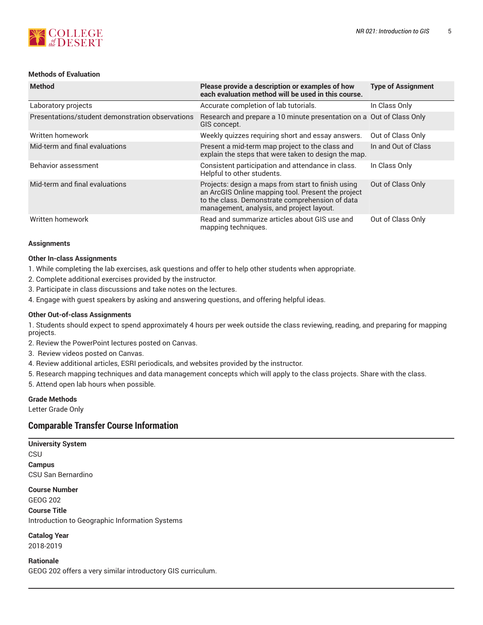

## **Methods of Evaluation**

| <b>Method</b>                                    | Please provide a description or examples of how<br>each evaluation method will be used in this course.                                                                                                   | <b>Type of Assignment</b> |
|--------------------------------------------------|----------------------------------------------------------------------------------------------------------------------------------------------------------------------------------------------------------|---------------------------|
| Laboratory projects                              | Accurate completion of lab tutorials.                                                                                                                                                                    | In Class Only             |
| Presentations/student demonstration observations | Research and prepare a 10 minute presentation on a Out of Class Only<br>GIS concept.                                                                                                                     |                           |
| Written homework                                 | Weekly quizzes requiring short and essay answers.                                                                                                                                                        | Out of Class Only         |
| Mid-term and final evaluations                   | Present a mid-term map project to the class and<br>explain the steps that were taken to design the map.                                                                                                  | In and Out of Class       |
| Behavior assessment                              | Consistent participation and attendance in class.<br>Helpful to other students.                                                                                                                          | In Class Only             |
| Mid-term and final evaluations                   | Projects: design a maps from start to finish using<br>an ArcGIS Online mapping tool. Present the project<br>to the class. Demonstrate comprehension of data<br>management, analysis, and project layout. | Out of Class Only         |
| Written homework                                 | Read and summarize articles about GIS use and<br>mapping techniques.                                                                                                                                     | Out of Class Only         |

#### **Assignments**

#### **Other In-class Assignments**

- 1. While completing the lab exercises, ask questions and offer to help other students when appropriate.
- 2. Complete additional exercises provided by the instructor.
- 3. Participate in class discussions and take notes on the lectures.
- 4. Engage with guest speakers by asking and answering questions, and offering helpful ideas.

#### **Other Out-of-class Assignments**

1. Students should expect to spend approximately 4 hours per week outside the class reviewing, reading, and preparing for mapping projects.

- 2. Review the PowerPoint lectures posted on Canvas.
- 3. Review videos posted on Canvas.
- 4. Review additional articles, ESRI periodicals, and websites provided by the instructor.
- 5. Research mapping techniques and data management concepts which will apply to the class projects. Share with the class.
- 5. Attend open lab hours when possible.

## **Grade Methods**

Letter Grade Only

## **Comparable Transfer Course Information**

**University System CSU Campus** CSU San Bernardino

**Course Number**

GEOG 202

**Course Title** Introduction to Geographic Information Systems

**Catalog Year** 2018-2019

**Rationale** GEOG 202 offers a very similar introductory GIS curriculum.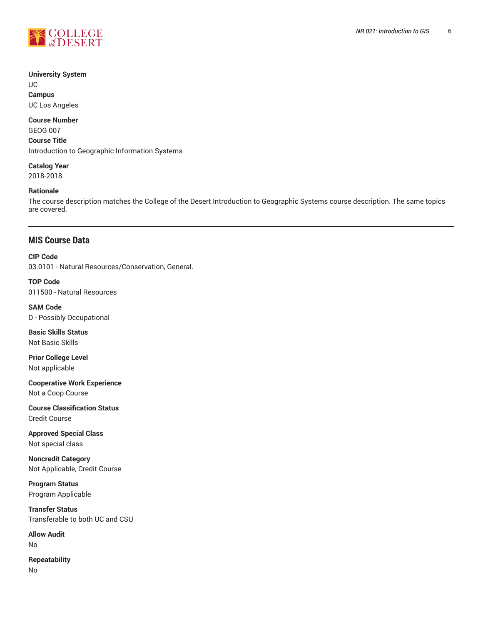

#### **University System**

UC **Campus**

UC Los Angeles

## **Course Number**

GEOG 007

**Course Title**

Introduction to Geographic Information Systems

#### **Catalog Year** 2018-2018

## **Rationale**

The course description matches the College of the Desert Introduction to Geographic Systems course description. The same topics are covered.

## **MIS Course Data**

**CIP Code**

03.0101 - Natural Resources/Conservation, General.

**TOP Code** 011500 - Natural Resources

**SAM Code** D - Possibly Occupational

**Basic Skills Status** Not Basic Skills

**Prior College Level** Not applicable

**Cooperative Work Experience** Not a Coop Course

**Course Classification Status** Credit Course

**Approved Special Class** Not special class

**Noncredit Category** Not Applicable, Credit Course

**Program Status** Program Applicable

**Transfer Status** Transferable to both UC and CSU

**Allow Audit** No

**Repeatability** No